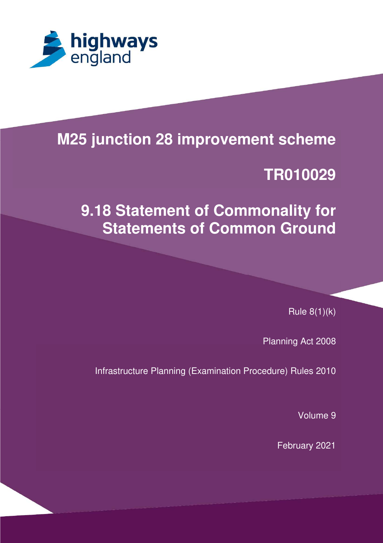

# **M25 junction 28 improvement scheme**

# **TR010029**

# **9.18 Statement of Commonality for Statements of Common Ground**

Rule 8(1)(k)

Planning Act 2008

Infrastructure Planning (Examination Procedure) Rules 2010

Volume 9

February 2021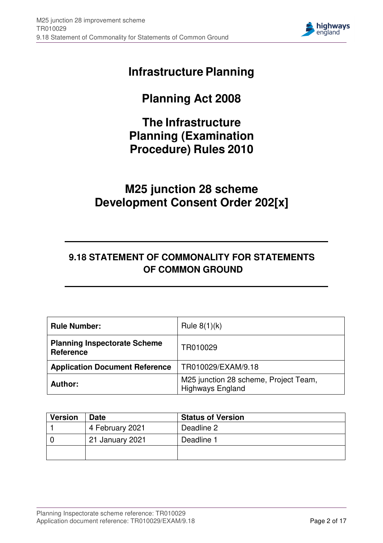

# **Infrastructure Planning**

# **Planning Act 2008**

# **The Infrastructure Planning (Examination Procedure) Rules 2010**

# **M25 junction 28 scheme Development Consent Order 202[x]**

### **9.18 STATEMENT OF COMMONALITY FOR STATEMENTS OF COMMON GROUND**

| <b>Rule Number:</b>                                     | Rule $8(1)(k)$                                                   |
|---------------------------------------------------------|------------------------------------------------------------------|
| <b>Planning Inspectorate Scheme</b><br><b>Reference</b> | TR010029                                                         |
| <b>Application Document Reference</b>                   | TR010029/EXAM/9.18                                               |
| <b>Author:</b>                                          | M25 junction 28 scheme, Project Team,<br><b>Highways England</b> |

| <b>Version</b> | <b>Date</b>     | <b>Status of Version</b> |
|----------------|-----------------|--------------------------|
|                | 4 February 2021 | Deadline 2               |
|                | 21 January 2021 | Deadline 1               |
|                |                 |                          |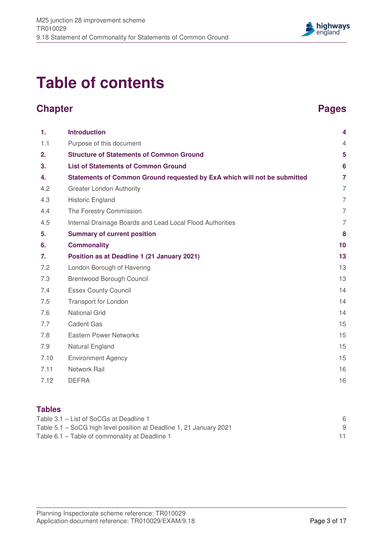

# **Table of contents**

# **Chapter Chapter Chapter 2004**

| 1.   | <b>Introduction</b>                                                      | 4              |
|------|--------------------------------------------------------------------------|----------------|
| 1.1  | Purpose of this document                                                 | $\overline{4}$ |
| 2.   | <b>Structure of Statements of Common Ground</b>                          | 5              |
| 3.   | <b>List of Statements of Common Ground</b>                               | 6              |
| 4.   | Statements of Common Ground requested by ExA which will not be submitted | $\overline{7}$ |
| 4.2  | <b>Greater London Authority</b>                                          | $\overline{7}$ |
| 4.3  | Historic England                                                         | $\overline{7}$ |
| 4.4  | The Forestry Commission                                                  | $\overline{7}$ |
| 4.5  | Internal Drainage Boards and Lead Local Flood Authorities                | $\overline{7}$ |
| 5.   | <b>Summary of current position</b>                                       | 8              |
| 6.   | <b>Commonality</b>                                                       | 10             |
| 7.   | Position as at Deadline 1 (21 January 2021)                              | 13             |
| 7.2  | London Borough of Havering                                               | 13             |
| 7.3  | <b>Brentwood Borough Council</b>                                         | 13             |
| 7.4  | <b>Essex County Council</b>                                              | 14             |
| 7.5  | <b>Transport for London</b>                                              | 14             |
| 7.6  | <b>National Grid</b>                                                     | 14             |
| 7.7  | <b>Cadent Gas</b>                                                        | 15             |
| 7.8  | <b>Eastern Power Networks</b>                                            | 15             |
| 7.9  | Natural England                                                          | 15             |
| 7.10 | <b>Environment Agency</b>                                                | 15             |
| 7.11 | Network Rail                                                             | 16             |
| 7.12 | <b>DEFRA</b>                                                             | 16             |

#### **Tables**

| Table 3.1 – List of SoCGs at Deadline 1                             |  |
|---------------------------------------------------------------------|--|
| Table 5.1 – SoCG high level position at Deadline 1, 21 January 2021 |  |
| Table 6.1 – Table of commonality at Deadline 1                      |  |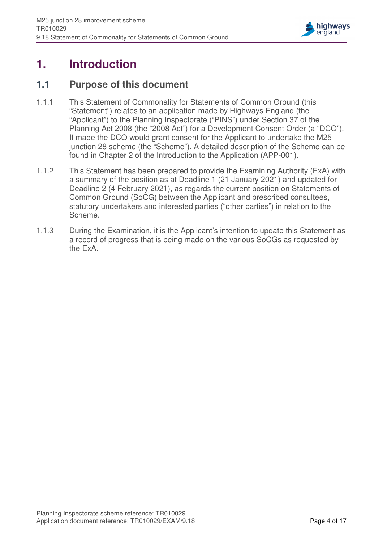

# **1. Introduction**

### **1.1 Purpose of this document**

- 1.1.1 This Statement of Commonality for Statements of Common Ground (this "Statement") relates to an application made by Highways England (the "Applicant") to the Planning Inspectorate ("PINS") under Section 37 of the Planning Act 2008 (the "2008 Act") for a Development Consent Order (a "DCO"). If made the DCO would grant consent for the Applicant to undertake the M25 junction 28 scheme (the "Scheme"). A detailed description of the Scheme can be found in Chapter 2 of the Introduction to the Application (APP-001).
- 1.1.2 This Statement has been prepared to provide the Examining Authority (ExA) with a summary of the position as at Deadline 1 (21 January 2021) and updated for Deadline 2 (4 February 2021), as regards the current position on Statements of Common Ground (SoCG) between the Applicant and prescribed consultees, statutory undertakers and interested parties ("other parties") in relation to the Scheme.
- 1.1.3 During the Examination, it is the Applicant's intention to update this Statement as a record of progress that is being made on the various SoCGs as requested by the ExA.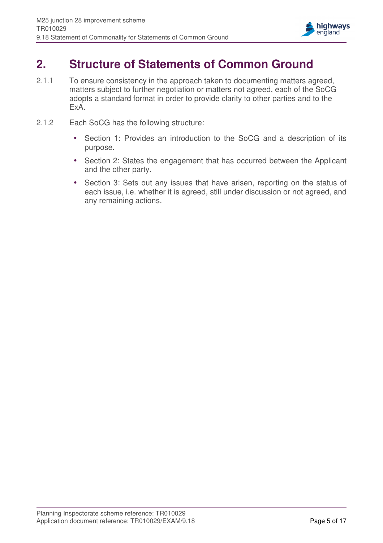

# **2. Structure of Statements of Common Ground**

- 2.1.1 To ensure consistency in the approach taken to documenting matters agreed, matters subject to further negotiation or matters not agreed, each of the SoCG adopts a standard format in order to provide clarity to other parties and to the ExA.
- 2.1.2 Each SoCG has the following structure:
	- Section 1: Provides an introduction to the SoCG and a description of its purpose.
	- Section 2: States the engagement that has occurred between the Applicant and the other party.
	- Section 3: Sets out any issues that have arisen, reporting on the status of each issue, i.e. whether it is agreed, still under discussion or not agreed, and any remaining actions.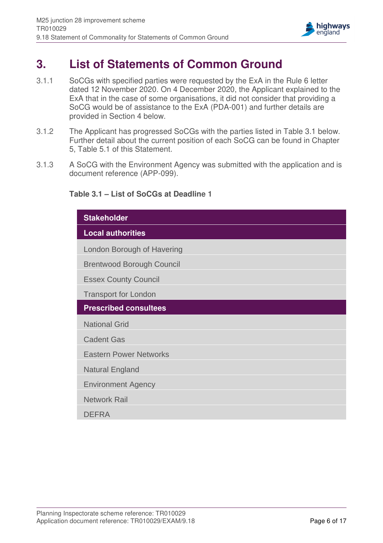

#### **3. List of Statements of Common Ground**

- 3.1.1 SoCGs with specified parties were requested by the ExA in the Rule 6 letter dated 12 November 2020. On 4 December 2020, the Applicant explained to the ExA that in the case of some organisations, it did not consider that providing a SoCG would be of assistance to the ExA (PDA-001) and further details are provided in Section 4 below.
- 3.1.2 The Applicant has progressed SoCGs with the parties listed in Table 3.1 below. Further detail about the current position of each SoCG can be found in Chapter 5, Table 5.1 of this Statement.
- 3.1.3 A SoCG with the Environment Agency was submitted with the application and is document reference (APP-099).

#### **Table 3.1 – List of SoCGs at Deadline 1**

| <b>Stakeholder</b>               |
|----------------------------------|
| <b>Local authorities</b>         |
| London Borough of Havering       |
| <b>Brentwood Borough Council</b> |
| <b>Essex County Council</b>      |
| <b>Transport for London</b>      |
| <b>Prescribed consultees</b>     |
| <b>National Grid</b>             |
| <b>Cadent Gas</b>                |
| <b>Eastern Power Networks</b>    |
| <b>Natural England</b>           |
| <b>Environment Agency</b>        |
| <b>Network Rail</b>              |
| <b>DEFRA</b>                     |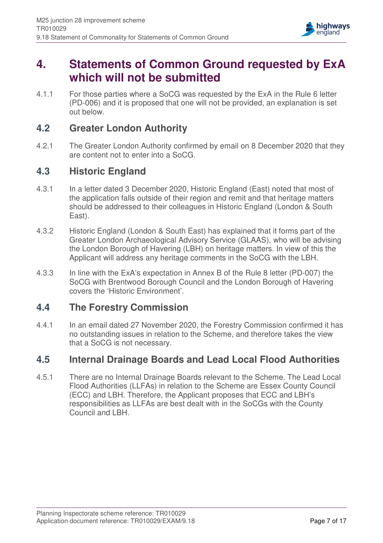

# **4. Statements of Common Ground requested by ExA which will not be submitted**

4.1.1 For those parties where a SoCG was requested by the ExA in the Rule 6 letter (PD-006) and it is proposed that one will not be provided, an explanation is set out below.

### **4.2 Greater London Authority**

4.2.1 The Greater London Authority confirmed by email on 8 December 2020 that they are content not to enter into a SoCG.

### **4.3 Historic England**

- 4.3.1 In a letter dated 3 December 2020, Historic England (East) noted that most of the application falls outside of their region and remit and that heritage matters should be addressed to their colleagues in Historic England (London & South East).
- 4.3.2 Historic England (London & South East) has explained that it forms part of the Greater London Archaeological Advisory Service (GLAAS), who will be advising the London Borough of Havering (LBH) on heritage matters. In view of this the Applicant will address any heritage comments in the SoCG with the LBH.
- 4.3.3 In line with the ExA's expectation in Annex B of the Rule 8 letter (PD-007) the SoCG with Brentwood Borough Council and the London Borough of Havering covers the 'Historic Environment'.

### **4.4 The Forestry Commission**

4.4.1 In an email dated 27 November 2020, the Forestry Commission confirmed it has no outstanding issues in relation to the Scheme, and therefore takes the view that a SoCG is not necessary.

### **4.5 Internal Drainage Boards and Lead Local Flood Authorities**

4.5.1 There are no Internal Drainage Boards relevant to the Scheme. The Lead Local Flood Authorities (LLFAs) in relation to the Scheme are Essex County Council (ECC) and LBH. Therefore, the Applicant proposes that ECC and LBH's responsibilities as LLFAs are best dealt with in the SoCGs with the County Council and LBH.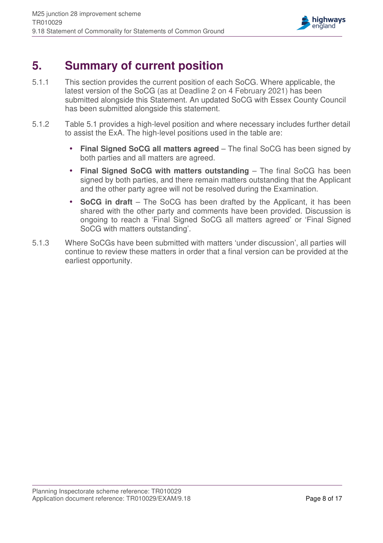

# **5. Summary of current position**

- 5.1.1 This section provides the current position of each SoCG. Where applicable, the latest version of the SoCG (as at Deadline 2 on 4 February 2021) has been submitted alongside this Statement. An updated SoCG with Essex County Council has been submitted alongside this statement.
- 5.1.2 Table 5.1 provides a high-level position and where necessary includes further detail to assist the ExA. The high-level positions used in the table are:
	- **Final Signed SoCG all matters agreed** The final SoCG has been signed by both parties and all matters are agreed.
	- Final Signed SoCG with matters outstanding The final SoCG has been signed by both parties, and there remain matters outstanding that the Applicant and the other party agree will not be resolved during the Examination.
	- **SoCG in draft** The SoCG has been drafted by the Applicant, it has been shared with the other party and comments have been provided. Discussion is ongoing to reach a 'Final Signed SoCG all matters agreed' or 'Final Signed SoCG with matters outstanding'.
- 5.1.3 Where SoCGs have been submitted with matters 'under discussion', all parties will continue to review these matters in order that a final version can be provided at the earliest opportunity.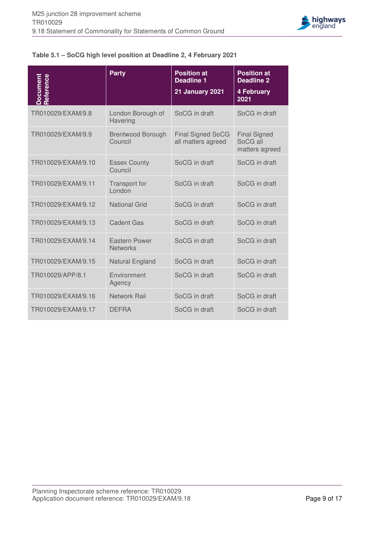

#### **Table 5.1 – SoCG high level position at Deadline 2, 4 February 2021**

| Document<br>Reference | <b>Party</b>                            | <b>Position at</b><br><b>Deadline 1</b><br><b>21 January 2021</b> | <b>Position at</b><br><b>Deadline 2</b><br>4 February<br>2021 |
|-----------------------|-----------------------------------------|-------------------------------------------------------------------|---------------------------------------------------------------|
| TR010029/EXAM/9.8     | London Borough of<br>Havering           | SoCG in draft                                                     | SoCG in draft                                                 |
| TR010029/EXAM/9.9     | <b>Brentwood Borough</b><br>Council     | <b>Final Signed SoCG</b><br>all matters agreed                    | <b>Final Signed</b><br>SoCG all<br>matters agreed             |
| TR010029/EXAM/9.10    | <b>Essex County</b><br>Council          | SoCG in draft                                                     | SoCG in draft                                                 |
| TR010029/EXAM/9.11    | Transport for<br>London                 | SoCG in draft                                                     | SoCG in draft                                                 |
| TR010029/EXAM/9.12    | <b>National Grid</b>                    | SoCG in draft                                                     | SoCG in draft                                                 |
| TR010029/EXAM/9.13    | <b>Cadent Gas</b>                       | SoCG in draft                                                     | SoCG in draft                                                 |
| TR010029/EXAM/9.14    | <b>Eastern Power</b><br><b>Networks</b> | SoCG in draft                                                     | SoCG in draft                                                 |
| TR010029/EXAM/9.15    | Natural England                         | SoCG in draft                                                     | SoCG in draft                                                 |
| TR010029/APP/8.1      | Environment<br>Agency                   | SoCG in draft                                                     | SoCG in draft                                                 |
| TR010029/EXAM/9.16    | <b>Network Rail</b>                     | SoCG in draft                                                     | SoCG in draft                                                 |
| TR010029/EXAM/9.17    | <b>DEFRA</b>                            | SoCG in draft                                                     | SoCG in draft                                                 |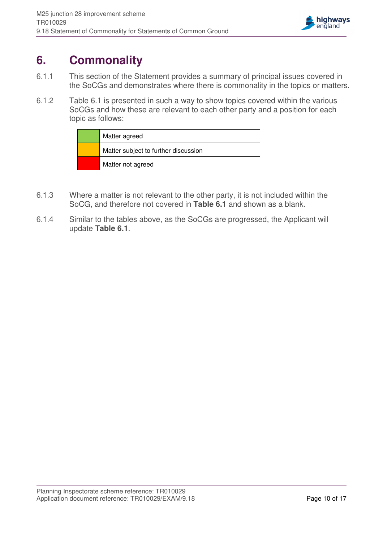

# **6. Commonality**

- 6.1.1 This section of the Statement provides a summary of principal issues covered in the SoCGs and demonstrates where there is commonality in the topics or matters.
- 6.1.2 Table 6.1 is presented in such a way to show topics covered within the various SoCGs and how these are relevant to each other party and a position for each topic as follows:

| Matter agreed                        |
|--------------------------------------|
| Matter subject to further discussion |
| Matter not agreed                    |

- 6.1.3 Where a matter is not relevant to the other party, it is not included within the SoCG, and therefore not covered in **Table 6.1** and shown as a blank.
- 6.1.4 Similar to the tables above, as the SoCGs are progressed, the Applicant will update **Table 6.1**.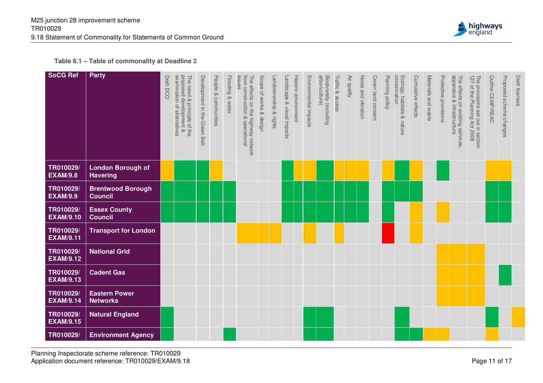

**Table 6.1 – Table of commonality at Deadline 2**

| <b>SoCG Ref</b>               | Party                                       | examination of alternatives<br>The need<br>proposed o<br>Draft DCO<br>d & principle of the<br>d development & | Development in the Green Belt | People & communities | Flooding & water | from construction & operational<br>The effects on the highway network<br>issues | Scope of works & design | Landownership & rights | Landscape & visual impacts | Historic environment | Environmental impacts | arboriculture)<br>Biodiversity (including | Traffic & access | Air quality | Noise and vibration | Crown land consent | Planning policy | conservation<br>Ecology, habitats & nature | Cumulative effects | Materials and waste | Protective provisions | apparatus & infrastructure<br>The effects on existing services | The<br>127<br>provisions set out in section<br>of the Planning Act 2008 | Outline CEMP/REAC | Proposed scheme changes | Draft licenses |
|-------------------------------|---------------------------------------------|---------------------------------------------------------------------------------------------------------------|-------------------------------|----------------------|------------------|---------------------------------------------------------------------------------|-------------------------|------------------------|----------------------------|----------------------|-----------------------|-------------------------------------------|------------------|-------------|---------------------|--------------------|-----------------|--------------------------------------------|--------------------|---------------------|-----------------------|----------------------------------------------------------------|-------------------------------------------------------------------------|-------------------|-------------------------|----------------|
| TR010029/<br><b>EXAM/9.8</b>  | <b>London Borough of</b><br><b>Havering</b> |                                                                                                               |                               |                      |                  |                                                                                 |                         |                        |                            |                      |                       |                                           |                  |             |                     |                    |                 |                                            |                    |                     |                       |                                                                |                                                                         |                   |                         |                |
| TR010029/<br><b>EXAM/9.9</b>  | <b>Brentwood Borough</b><br><b>Council</b>  |                                                                                                               |                               |                      |                  |                                                                                 |                         |                        |                            |                      |                       |                                           |                  |             |                     |                    |                 |                                            |                    |                     |                       |                                                                |                                                                         |                   |                         |                |
| TR010029/<br><b>EXAM/9.10</b> | <b>Essex County</b><br><b>Council</b>       |                                                                                                               |                               |                      |                  |                                                                                 |                         |                        |                            |                      |                       |                                           |                  |             |                     |                    |                 |                                            |                    |                     |                       |                                                                |                                                                         |                   |                         |                |
| TR010029/<br><b>EXAM/9.11</b> | <b>Transport for London</b>                 |                                                                                                               |                               |                      |                  |                                                                                 |                         |                        |                            |                      |                       |                                           |                  |             |                     |                    |                 |                                            |                    |                     |                       |                                                                |                                                                         |                   |                         |                |
| TR010029/<br><b>EXAM/9.12</b> | <b>National Grid</b>                        |                                                                                                               |                               |                      |                  |                                                                                 |                         |                        |                            |                      |                       |                                           |                  |             |                     |                    |                 |                                            |                    |                     |                       |                                                                |                                                                         |                   |                         |                |
| TR010029/<br><b>EXAM/9.13</b> | <b>Cadent Gas</b>                           |                                                                                                               |                               |                      |                  |                                                                                 |                         |                        |                            |                      |                       |                                           |                  |             |                     |                    |                 |                                            |                    |                     |                       |                                                                |                                                                         |                   |                         |                |
| TR010029/<br><b>EXAM/9.14</b> | <b>Eastern Power</b><br><b>Networks</b>     |                                                                                                               |                               |                      |                  |                                                                                 |                         |                        |                            |                      |                       |                                           |                  |             |                     |                    |                 |                                            |                    |                     |                       |                                                                |                                                                         |                   |                         |                |
| TR010029/<br><b>EXAM/9.15</b> | <b>Natural England</b>                      |                                                                                                               |                               |                      |                  |                                                                                 |                         |                        |                            |                      |                       |                                           |                  |             |                     |                    |                 |                                            |                    |                     |                       |                                                                |                                                                         |                   |                         |                |
| TR010029/                     | <b>Environment Agency</b>                   |                                                                                                               |                               |                      |                  |                                                                                 |                         |                        |                            |                      |                       |                                           |                  |             |                     |                    |                 |                                            |                    |                     |                       |                                                                |                                                                         |                   |                         |                |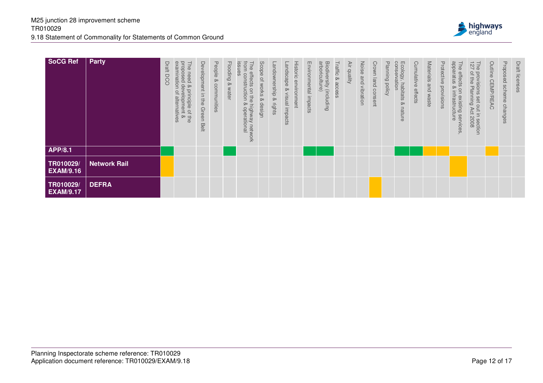

| <b>SoCG Ref</b>               | <b>Party</b>        | Draft<br><b>DCO</b> | pesodoud<br>examination<br>The<br>need<br>$\infty$<br>$\frac{\partial}{\partial \theta}$<br>principle of<br>velopment<br>$\overline{\mathcal{O}}$<br>alternatives<br>$rac{1}{8}$ | Development in the<br>Green I<br>Belt | People<br>ତ୍<br>communities | <b>Flooding</b><br>ହ<br>water | issues<br>from<br>The effects<br>construction<br>on<br>the<br>≫<br>highway<br>operational<br>network | Scope of works<br>$\infty$<br>aesign | Landownership<br>$\infty$<br>rights | <b>Historic</b><br>andscape<br>environment<br>$\infty$<br>visual impacts | Environmental impacts | arboriculture<br>Biodiversity<br>(including | Traffic<br>Q,<br>acces | Äίr<br>duality | Noise<br>and<br>vibration | Crown<br>land<br>consent | ᠊ᠣ<br>lanni<br>lui<br>Qui<br>policy | conserva<br>Ecology,<br>tion<br>habitats<br>ଚ୍ଚ<br>nature | Cumulative effects | Materials and waste | Protective<br>provisions | snauerade<br>The<br>effects<br>⊗<br>S<br>intrastruc<br>$\otimes$<br>Isting<br>ture<br>services | $\overline{\phantom{0}}$<br><b>P 27</b><br>of the<br>provisions<br>Planning<br>set out in<br>Act<br>8002<br>section | Outline CEMP/REAC | Proposed scheme changes | Draft licenses |
|-------------------------------|---------------------|---------------------|----------------------------------------------------------------------------------------------------------------------------------------------------------------------------------|---------------------------------------|-----------------------------|-------------------------------|------------------------------------------------------------------------------------------------------|--------------------------------------|-------------------------------------|--------------------------------------------------------------------------|-----------------------|---------------------------------------------|------------------------|----------------|---------------------------|--------------------------|-------------------------------------|-----------------------------------------------------------|--------------------|---------------------|--------------------------|------------------------------------------------------------------------------------------------|---------------------------------------------------------------------------------------------------------------------|-------------------|-------------------------|----------------|
| <b>APP/8.1</b>                |                     |                     |                                                                                                                                                                                  |                                       |                             |                               |                                                                                                      |                                      |                                     |                                                                          |                       |                                             |                        |                |                           |                          |                                     |                                                           |                    |                     |                          |                                                                                                |                                                                                                                     |                   |                         |                |
| TR010029/<br><b>EXAM/9.16</b> | <b>Network Rail</b> |                     |                                                                                                                                                                                  |                                       |                             |                               |                                                                                                      |                                      |                                     |                                                                          |                       |                                             |                        |                |                           |                          |                                     |                                                           |                    |                     |                          |                                                                                                |                                                                                                                     |                   |                         |                |
| TR010029/<br><b>EXAM/9.17</b> | <b>DEFRA</b>        |                     |                                                                                                                                                                                  |                                       |                             |                               |                                                                                                      |                                      |                                     |                                                                          |                       |                                             |                        |                |                           |                          |                                     |                                                           |                    |                     |                          |                                                                                                |                                                                                                                     |                   |                         |                |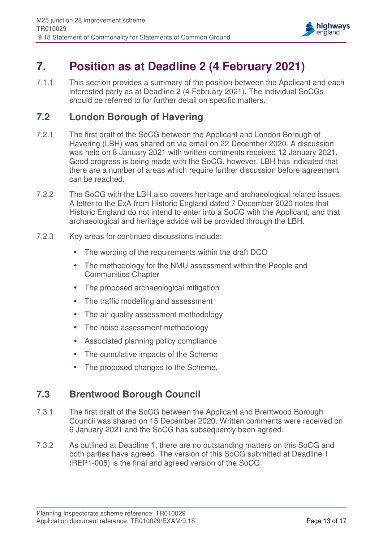

# **7. Position as at Deadline 2 (4 February 2021)**

7.1.1 This section provides a summary of the position between the Applicant and each interested party as at Deadline 2 (4 February 2021). The individual SoCGs should be referred to for further detail on specific matters.

### **7.2 London Borough of Havering**

- 7.2.1 The first draft of the SoCG between the Applicant and London Borough of Havering (LBH) was shared on via email on 22 December 2020. A discussion was held on 8 January 2021 with written comments received 12 January 2021. Good progress is being made with the SoCG, however, LBH has indicated that there are a number of areas which require further discussion before agreement can be reached.
- 7.2.2 The SoCG with the LBH also covers heritage and archaeological related issues. A letter to the ExA from Historic England dated 7 December 2020 notes that Historic England do not intend to enter into a SoCG with the Applicant, and that archaeological and heritage advice will be provided through the LBH.
- 7.2.3 Key areas for continued discussions include:
	- The wording of the requirements within the draft DCO
	- The methodology for the NMU assessment within the People and Communities Chapter
	- The proposed archaeological mitigation
	- The traffic modelling and assessment
	- The air quality assessment methodology
	- The noise assessment methodology
	- Associated planning policy compliance
	- The cumulative impacts of the Scheme
	- The proposed changes to the Scheme.

### **7.3 Brentwood Borough Council**

- 7.3.1 The first draft of the SoCG between the Applicant and Brentwood Borough Council was shared on 15 December 2020. Written comments were received on 6 January 2021 and the SoCG has subsequently been agreed.
- 7.3.2 As outlined at Deadline 1, there are no outstanding matters on this SoCG and both parties have agreed. The version of this SoCG submitted at Deadline 1 (REP1-005) is the final and agreed version of the SoCG.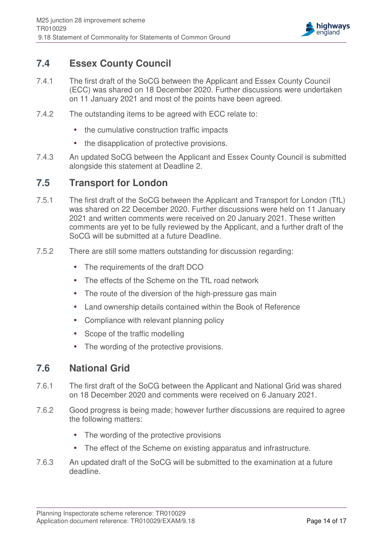

### **7.4 Essex County Council**

- 7.4.1 The first draft of the SoCG between the Applicant and Essex County Council (ECC) was shared on 18 December 2020. Further discussions were undertaken on 11 January 2021 and most of the points have been agreed.
- 7.4.2 The outstanding items to be agreed with ECC relate to:
	- the cumulative construction traffic impacts
	- the disapplication of protective provisions.
- 7.4.3 An updated SoCG between the Applicant and Essex County Council is submitted alongside this statement at Deadline 2.

#### **7.5 Transport for London**

- 7.5.1 The first draft of the SoCG between the Applicant and Transport for London (TfL) was shared on 22 December 2020. Further discussions were held on 11 January 2021 and written comments were received on 20 January 2021. These written comments are yet to be fully reviewed by the Applicant, and a further draft of the SoCG will be submitted at a future Deadline.
- 7.5.2 There are still some matters outstanding for discussion regarding:
	- The requirements of the draft DCO
	- The effects of the Scheme on the TfL road network
	- The route of the diversion of the high-pressure gas main
	- Land ownership details contained within the Book of Reference
	- Compliance with relevant planning policy
	- Scope of the traffic modelling
	- The wording of the protective provisions.

### **7.6 National Grid**

- 7.6.1 The first draft of the SoCG between the Applicant and National Grid was shared on 18 December 2020 and comments were received on 6 January 2021.
- 7.6.2 Good progress is being made; however further discussions are required to agree the following matters:
	- The wording of the protective provisions
	- The effect of the Scheme on existing apparatus and infrastructure.
- 7.6.3 An updated draft of the SoCG will be submitted to the examination at a future deadline.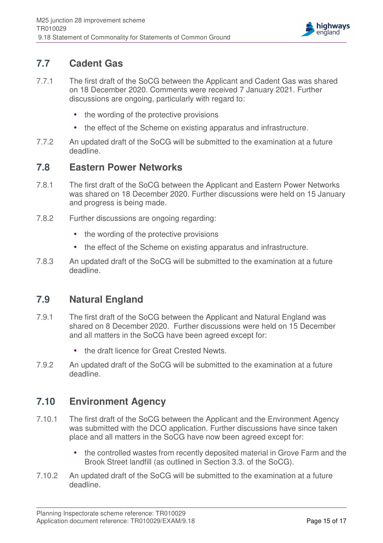

### **7.7 Cadent Gas**

- 7.7.1 The first draft of the SoCG between the Applicant and Cadent Gas was shared on 18 December 2020. Comments were received 7 January 2021. Further discussions are ongoing, particularly with regard to:
	- the wording of the protective provisions
	- the effect of the Scheme on existing apparatus and infrastructure.
- 7.7.2 An updated draft of the SoCG will be submitted to the examination at a future deadline.

### **7.8 Eastern Power Networks**

- 7.8.1 The first draft of the SoCG between the Applicant and Eastern Power Networks was shared on 18 December 2020. Further discussions were held on 15 January and progress is being made.
- 7.8.2 Further discussions are ongoing regarding:
	- the wording of the protective provisions
	- the effect of the Scheme on existing apparatus and infrastructure.
- 7.8.3 An updated draft of the SoCG will be submitted to the examination at a future deadline.

### **7.9 Natural England**

- 7.9.1 The first draft of the SoCG between the Applicant and Natural England was shared on 8 December 2020. Further discussions were held on 15 December and all matters in the SoCG have been agreed except for:
	- the draft licence for Great Crested Newts.
- 7.9.2 An updated draft of the SoCG will be submitted to the examination at a future deadline.

### **7.10 Environment Agency**

- 7.10.1 The first draft of the SoCG between the Applicant and the Environment Agency was submitted with the DCO application. Further discussions have since taken place and all matters in the SoCG have now been agreed except for:
	- the controlled wastes from recently deposited material in Grove Farm and the Brook Street landfill (as outlined in Section 3.3. of the SoCG).
- 7.10.2 An updated draft of the SoCG will be submitted to the examination at a future deadline.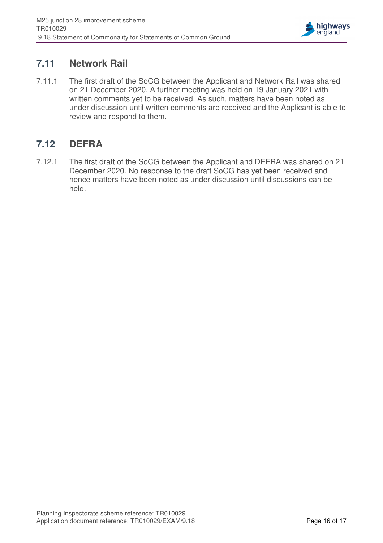

### **7.11 Network Rail**

7.11.1 The first draft of the SoCG between the Applicant and Network Rail was shared on 21 December 2020. A further meeting was held on 19 January 2021 with written comments yet to be received. As such, matters have been noted as under discussion until written comments are received and the Applicant is able to review and respond to them.

## **7.12 DEFRA**

7.12.1 The first draft of the SoCG between the Applicant and DEFRA was shared on 21 December 2020. No response to the draft SoCG has yet been received and hence matters have been noted as under discussion until discussions can be held.